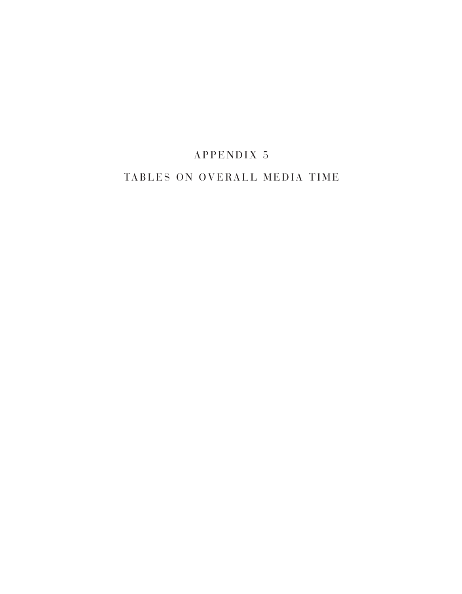# APPENDIX 5

## TABLES ON OVERALL MEDIA TIME